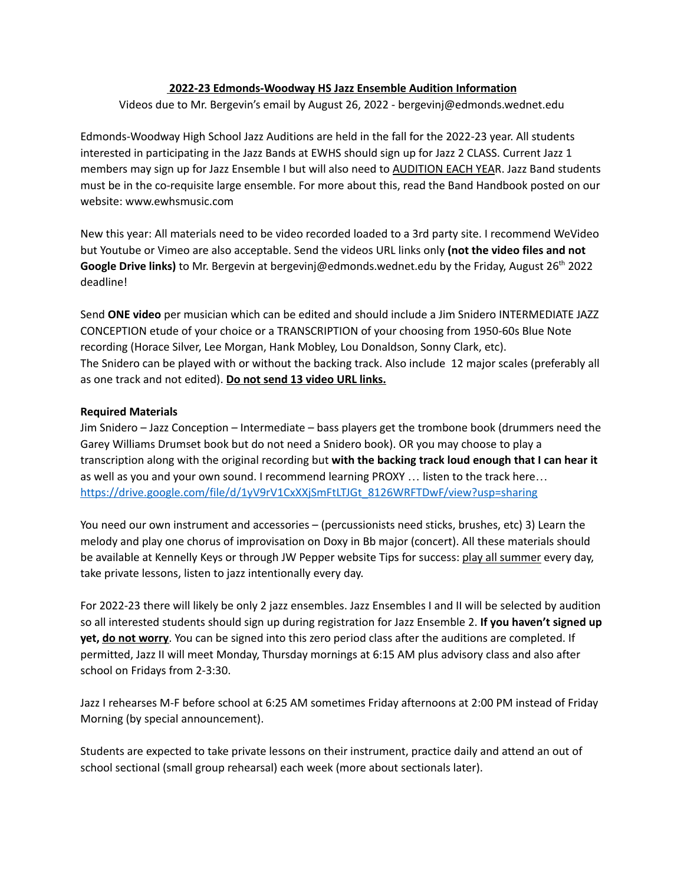## **2022-23 Edmonds-Woodway HS Jazz Ensemble Audition Information**

Videos due to Mr. Bergevin's email by August 26, 2022 - bergevinj@edmonds.wednet.edu

Edmonds-Woodway High School Jazz Auditions are held in the fall for the 2022-23 year. All students interested in participating in the Jazz Bands at EWHS should sign up for Jazz 2 CLASS. Current Jazz 1 members may sign up for Jazz Ensemble I but will also need to AUDITION EACH YEAR. Jazz Band students must be in the co-requisite large ensemble. For more about this, read the Band Handbook posted on our website: www.ewhsmusic.com

New this year: All materials need to be video recorded loaded to a 3rd party site. I recommend WeVideo but Youtube or Vimeo are also acceptable. Send the videos URL links only **(not the video files and not Google Drive links)** to Mr. Bergevin at bergevinj@edmonds.wednet.edu by the Friday, August 26 th 2022 deadline!

Send **ONE video** per musician which can be edited and should include a Jim Snidero INTERMEDIATE JAZZ CONCEPTION etude of your choice or a TRANSCRIPTION of your choosing from 1950-60s Blue Note recording (Horace Silver, Lee Morgan, Hank Mobley, Lou Donaldson, Sonny Clark, etc). The Snidero can be played with or without the backing track. Also include 12 major scales (preferably all as one track and not edited). **Do not send 13 video URL links.**

## **Required Materials**

Jim Snidero – Jazz Conception – Intermediate – bass players get the trombone book (drummers need the Garey Williams Drumset book but do not need a Snidero book). OR you may choose to play a transcription along with the original recording but **with the backing track loud enough that I can hear it** as well as you and your own sound. I recommend learning PROXY … listen to the track here… [https://drive.google.com/file/d/1yV9rV1CxXXjSmFtLTJGt\\_8126WRFTDwF/view?usp=sharing](https://drive.google.com/file/d/1yV9rV1CxXXjSmFtLTJGt_8126WRFTDwF/view?usp=sharing)

You need our own instrument and accessories – (percussionists need sticks, brushes, etc) 3) Learn the melody and play one chorus of improvisation on Doxy in Bb major (concert). All these materials should be available at Kennelly Keys or through JW Pepper website Tips for success: play all summer every day, take private lessons, listen to jazz intentionally every day.

For 2022-23 there will likely be only 2 jazz ensembles. Jazz Ensembles I and II will be selected by audition so all interested students should sign up during registration for Jazz Ensemble 2. **If you haven't signed up yet, do not worry**. You can be signed into this zero period class after the auditions are completed. If permitted, Jazz II will meet Monday, Thursday mornings at 6:15 AM plus advisory class and also after school on Fridays from 2-3:30.

Jazz I rehearses M-F before school at 6:25 AM sometimes Friday afternoons at 2:00 PM instead of Friday Morning (by special announcement).

Students are expected to take private lessons on their instrument, practice daily and attend an out of school sectional (small group rehearsal) each week (more about sectionals later).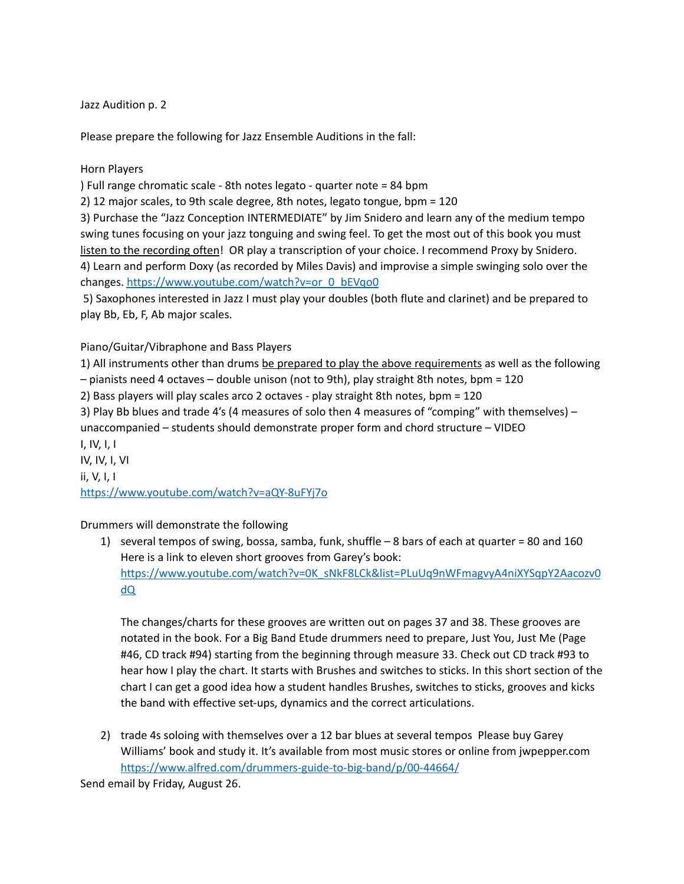Jazz Audition p. 2

Please prepare the following for Jazz Ensemble Auditions in the fall:

Horn Players

) Full range chromatic scale - 8th notes legato - quarter note = 84 bpm

2) 12 major scales, to 9th scale degree, 8th notes, legato tongue, bpm = 120

3) Purchase the "Jazz Conception INTERMEDIATE" by Jim Snidero and learn any of the medium tempo swing tunes focusing on your jazz tonguing and swing feel. To get the most out of this book you must listen to the recording often! OR play a transcription of your choice. I recommend Proxy by Snidero. 4) Learn and perform Doxy (as recorded by Miles Davis) and improvise a simple swinging solo over the

changes. [https://www.youtube.com/watch?v=or\\_0\\_bEVqo0](https://www.youtube.com/watch?v=or_0_bEVqo0)

5) Saxophones interested in Jazz I must play your doubles (both flute and clarinet) and be prepared to play Bb, Eb, F, Ab major scales.

## Piano/Guitar/Vibraphone and Bass Players

1) All instruments other than drums be prepared to play the above requirements as well as the following – pianists need 4 octaves – double unison (not to 9th), play straight 8th notes, bpm = 120

2) Bass players will play scales arco 2 octaves - play straight 8th notes, bpm = 120

3) Play Bb blues and trade 4's (4 measures of solo then 4 measures of "comping" with themselves) – unaccompanied – students should demonstrate proper form and chord structure – VIDEO I, IV, I, I

IV, IV, I, VI ii, V, I, I <https://www.youtube.com/watch?v=aQY-8uFYj7o>

Drummers will demonstrate the following

1) several tempos of swing, bossa, samba, funk, shuffle – 8 bars of each at quarter = 80 and 160 Here is a link to eleven short grooves from Garey's book: [https://www.youtube.com/watch?v=0K\\_sNkF8LCk&list=PLuUq9nWFmagvyA4niXYSqpY2Aacozv0](https://www.youtube.com/watch?v=0K_sNkF8LCk&list=PLuUq9nWFmagvyA4niXYSqpY2Aacozv0dQ) [dQ](https://www.youtube.com/watch?v=0K_sNkF8LCk&list=PLuUq9nWFmagvyA4niXYSqpY2Aacozv0dQ)

The changes/charts for these grooves are written out on pages 37 and 38. These grooves are notated in the book. For a Big Band Etude drummers need to prepare, Just You, Just Me (Page #46, CD track #94) starting from the beginning through measure 33. Check out CD track #93 to hear how I play the chart. It starts with Brushes and switches to sticks. In this short section of the chart I can get a good idea how a student handles Brushes, switches to sticks, grooves and kicks the band with effective set-ups, dynamics and the correct articulations.

2) trade 4s soloing with themselves over a 12 bar blues at several tempos Please buy Garey Williams' book and study it. It's available from most music stores or online from jwpepper.com <https://www.alfred.com/drummers-guide-to-big-band/p/00-44664/>

Send email by Friday, August 26.